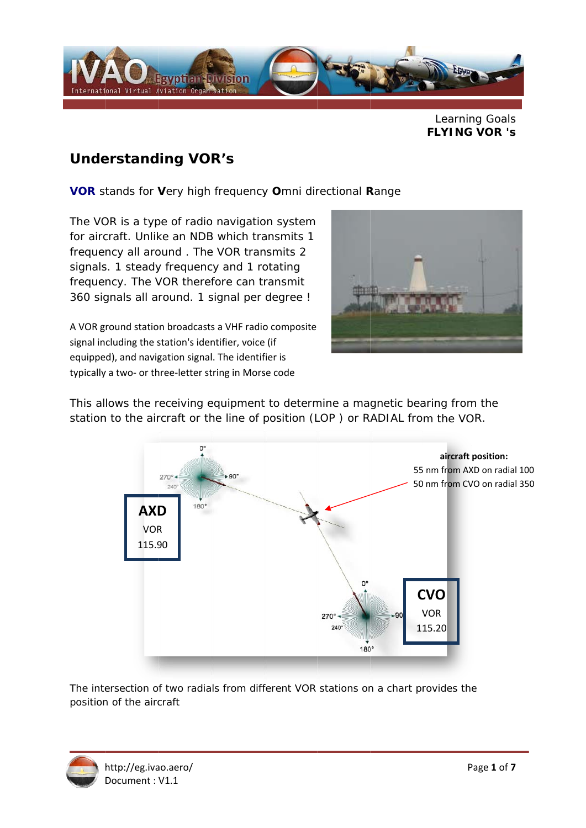

Learning Goals **FLYING VOR 's** 

## **Understanding VOR's**

VOR stands for Very high frequency Omni directional Range

The VOR is a type of radio navigation system for aircraft. Unlike an NDB which transmits 1 frequency all around. The VOR transmits 2 signals. 1 steady frequency and 1 rotating frequency. The VOR therefore can transmit 360 signals all around. 1 signal per degree !

A VOR ground station broadcasts a VHF radio composite signal including the station's identifier, voice (if equipped), and navigation signal. The identifier is typically a two- or three-letter string in Morse code



This allows the receiving equipment to determine a magnetic bearing from the station to the aircraft or the line of position (LOP) or RADIAL from the VOR.



The intersection of two radials from different VOR stations on a chart provides the position of the aircraft

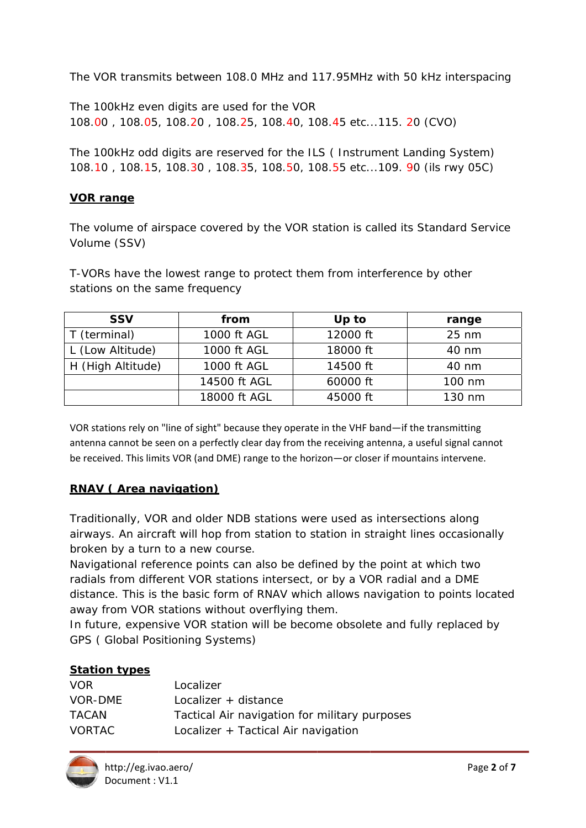The VOR transmits between 108.0 MHz and 117.95MHz with 50 kHz interspacing

The 100kHz even digits are used for the VOR 108.00, 108.05, 108.20, 108.25, 108.40, 108.45 etc...115. 20 (CVO)

The 100kHz odd digits are reserved for the ILS (Instrument Landing System) 108.10, 108.15, 108.30, 108.35, 108.50, 108.55 etc...109, 90 (ils rwy 05C)

### **VOR range**

The volume of airspace covered by the VOR station is called its Standard Service Volume (SSV)

T-VORs have the lowest range to protect them from interference by other stations on the same frequency

| <b>SSV</b>        | from         | Up to    | range           |
|-------------------|--------------|----------|-----------------|
| T (terminal)      | 1000 ft AGL  | 12000 ft | $25 \text{ nm}$ |
| L (Low Altitude)  | 1000 ft AGL  | 18000 ft | 40 nm           |
| H (High Altitude) | 1000 ft AGL  | 14500 ft | 40 nm           |
|                   | 14500 ft AGL | 60000 ft | 100 nm          |
|                   | 18000 ft AGL | 45000 ft | 130 nm          |

VOR stations rely on "line of sight" because they operate in the VHF band—if the transmitting antenna cannot be seen on a perfectly clear day from the receiving antenna, a useful signal cannot be received. This limits VOR (and DME) range to the horizon-or closer if mountains intervene.

## **RNAV (Area navigation)**

Traditionally, VOR and older NDB stations were used as intersections along airways. An aircraft will hop from station to station in straight lines occasionally broken by a turn to a new course.

Navigational reference points can also be defined by the point at which two radials from different VOR stations intersect, or by a VOR radial and a DME distance. This is the basic form of RNAV which allows navigation to points located away from VOR stations without overflying them.

In future, expensive VOR station will be become obsolete and fully replaced by **GPS (Global Positioning Systems)** 

#### **Station types**

| VOR.          | Localizer                                     |
|---------------|-----------------------------------------------|
| VOR-DMF       | Localizer + distance                          |
| TACAN         | Tactical Air navigation for military purposes |
| <b>VORTAC</b> | Localizer + Tactical Air navigation           |

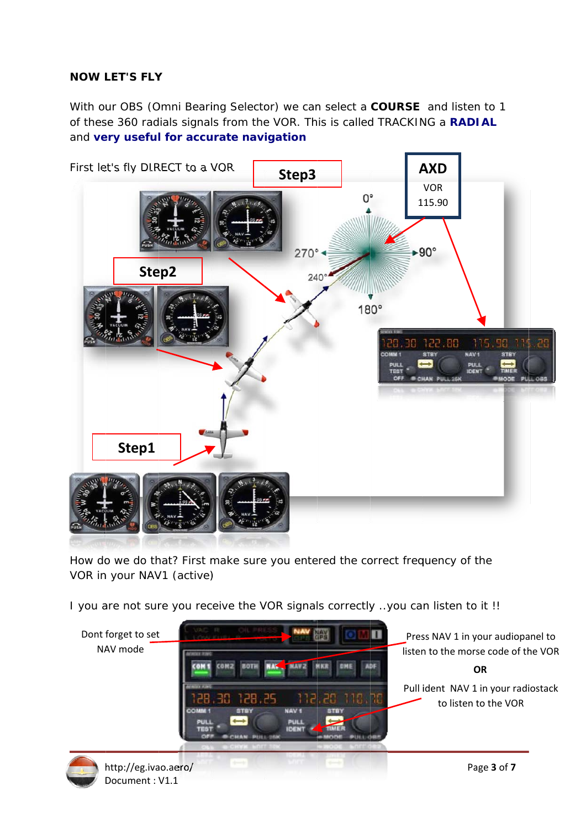## **NOW LET'S FLY**

With our OBS (Omni Bearing Selector) we can select a COURSE and listen to 1 of these 360 radials signals from the VOR. This is called TRACKING a RADIAL and very useful for accurate navigation



How do we do that? First make sure you entered the correct frequency of the VOR in your NAV1 (active)

I you are not sure you receive the VOR signals correctly .. you can listen to it !!



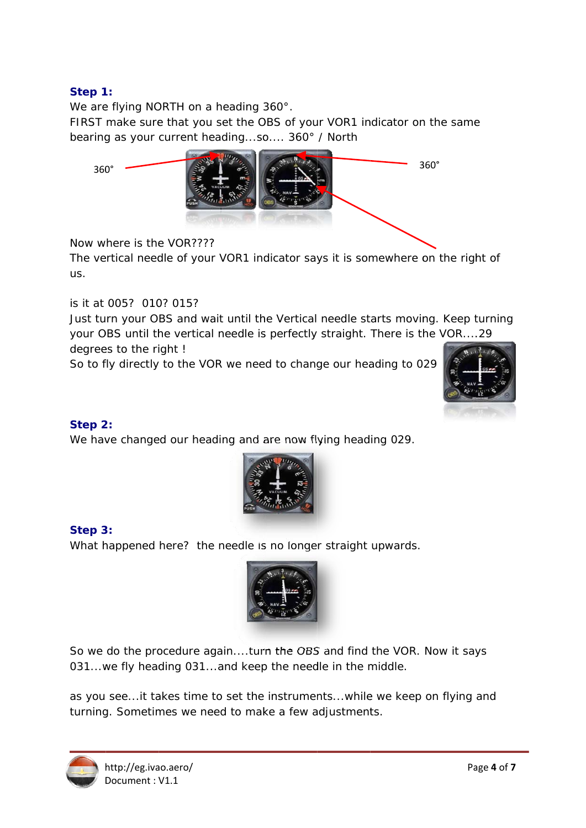## Step 1:

We are flying NORTH on a heading 360°.

FIRST make sure that you set the OBS of your VOR1 indicator on the same bearing as your current heading...so..., 360° / North



Now where is the VOR????

The vertical needle of your VOR1 indicator says it is somewhere on the right of us.

is it at 005? 010? 015?

Just turn your OBS and wait until the Vertical needle starts moving. Keep turning your OBS until the vertical needle is perfectly straight. There is the VOR....29 degrees to the right!

So to fly directly to the VOR we need to change our heading to 029



#### Step 2:

We have changed our heading and are now flying heading 029.



## Step 3:

What happened here? the needle is no longer straight upwards.



So we do the procedure again....turn the OBS and find the VOR. Now it says 031...we fly heading 031...and keep the needle in the middle.

as you see...it takes time to set the instruments...while we keep on flying and turning. Sometimes we need to make a few adjustments.

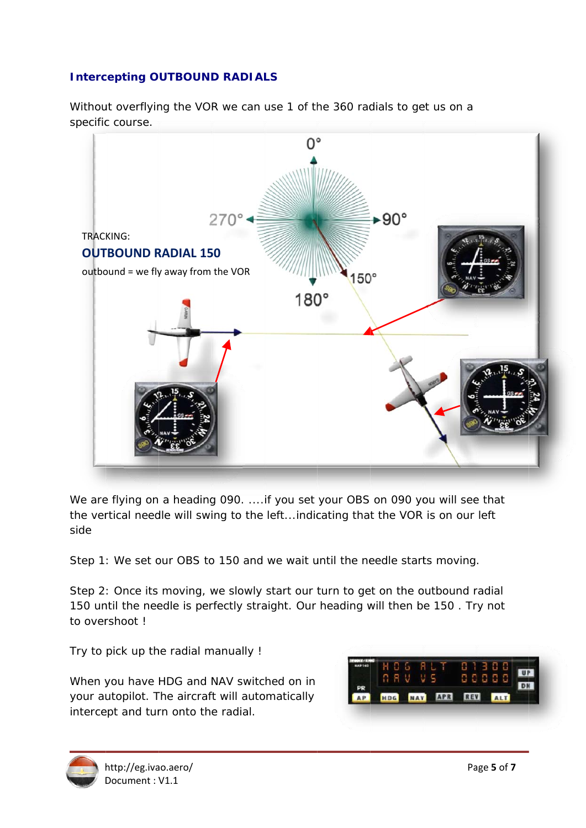## **Intercepting OUTBOUND RADIALS**

Without overflying the VOR we can use 1 of the 360 radials to get us on a specific course.



We are flying on a heading 090. .... if you set your OBS on 090 you will see that the vertical needle will swing to the left...indicating that the VOR is on our left side

Step 1: We set our OBS to 150 and we wait until the needle starts moving.

Step 2: Once its moving, we slowly start our turn to get on the outbound radial 150 until the needle is perfectly straight. Our heading will then be 150. Try not to overshoot!

Try to pick up the radial manually !

When you have HDG and NAV switched on in your autopilot. The aircraft will automatically intercept and turn onto the radial.

|           |  |                | n Li |     |  |  |
|-----------|--|----------------|------|-----|--|--|
|           |  |                |      |     |  |  |
|           |  |                |      |     |  |  |
| <b>AP</b> |  | <b>HDG</b> NAV | APR  | REV |  |  |

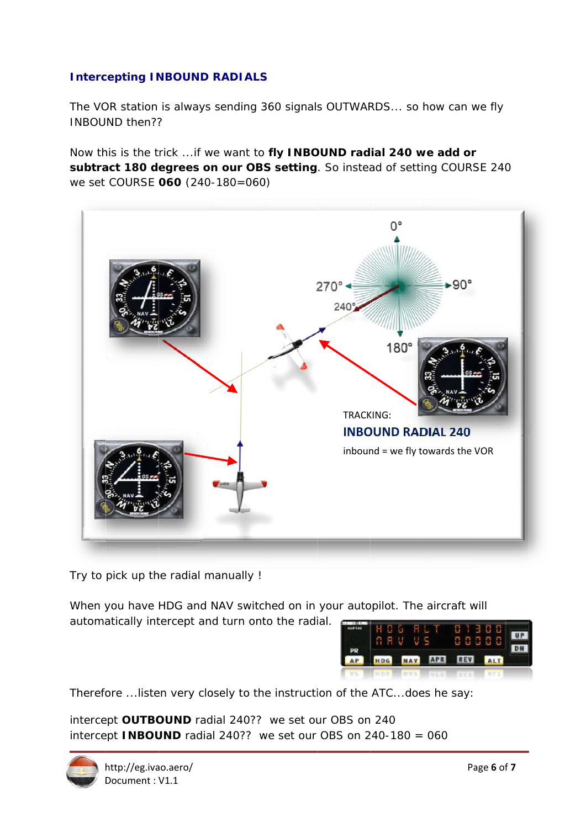## **Intercepting INBOUND RADIALS**

The VOR station is always sending 360 signals OUTWARDS... so how can we fly **INBOUND then??** 

Now this is the trick ... if we want to fly INBOUND radial 240 we add or subtract 180 degrees on our OBS setting. So instead of setting COURSE 240 we set COURSE 060 (240-180=060)



Try to pick up the radial manually !

When you have HDG and NAV switched on in your autopilot. The aircraft will automatically intercept and turn onto the radial.

|                 |  |  | H O G FALT<br>88 V V S      |  | U I 3 U U<br>88888 | UP |
|-----------------|--|--|-----------------------------|--|--------------------|----|
| $\frac{PR}{AP}$ |  |  | HDG NAV APR REV ALT         |  |                    |    |
| $-100$          |  |  | MHDC MYA MARYLY VCA THE VEA |  |                    |    |

Therefore ... listen very closely to the instruction of the ATC... does he say:

intercept OUTBOUND radial 240?? we set our OBS on 240 intercept **INBOUND** radial 240?? we set our OBS on 240-180 = 060